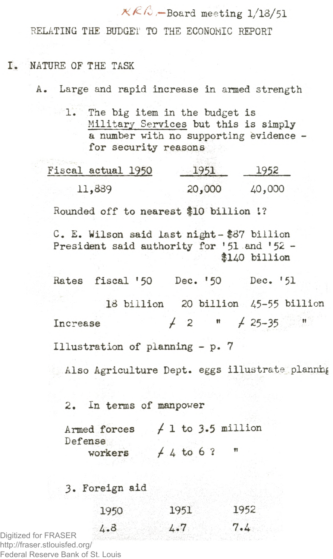$K\mathbb{C}$  –Board meeting  $1/13/51$ 

**RELATING THE BUDGE!' TO THE ECONOMIC REPORT**

## **I. NATURE OF THE TASK**

**A. Large and rapid increase in armed strength**

**1. The big item in the budget is Military Services but this is simply a number with no supporting evidence for security reasons**

| Fiscal actual 1950 | 1951   | 1952   |  |
|--------------------|--------|--------|--|
| 11,889             | 20,000 | 40,000 |  |

**Rounded off to nearest \$10 billion I?**

**C. E. Wilson said last night- \$87 billion President said authority for 151 and 152 - \$1^0 billion**

**Rates fiscal '50 Dec. \*50 Dec. '51**

**13 billion 20 billion ¿5-55 billion Increase**  $\neq 2$  "  $\neq 25-35$  "

**Illustration of planning - p. 7**

Also Agriculture Dept. eggs illustrate planning

**2. In terms of manpower**

| Armed forces |             |  |  | $f$ 1 to 3.5 million |
|--------------|-------------|--|--|----------------------|
| Defense      |             |  |  |                      |
| workers      | $+4$ to 6 ? |  |  |                      |

## **3. Foreign aid**

| 1950 | 1951 | 1952 |
|------|------|------|
| 4.8  | 4.7  | 7.4  |

Digitized for FRASER http://fraser.stlouisfed.org/ Federal Reserve Bank of St. Louis